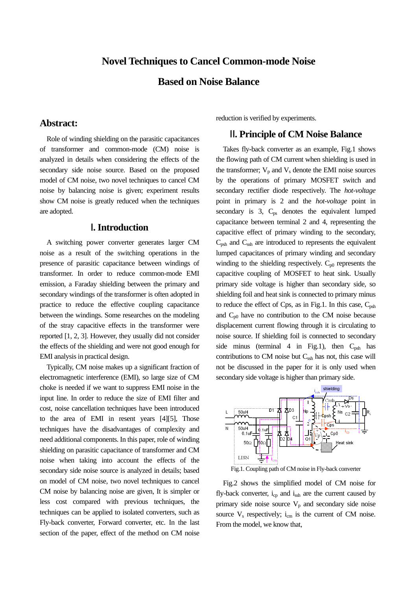## **Novel Techniques to Cancel Common-mode Noise**

# **Based on Noise Balance**

### **Abstract:**

Role of winding shielding on the parasitic capacitances of transformer and common-mode (CM) noise is analyzed in details when considering the effects of the secondary side noise source. Based on the proposed model of CM noise, two novel techniques to cancel CM noise by balancing noise is given; experiment results show CM noise is greatly reduced when the techniques are adopted.

## Ⅰ**. Introduction**

A switching power converter generates larger CM noise as a result of the switching operations in the presence of parasitic capacitance between windings of transformer. In order to reduce common-mode EMI emission, a Faraday shielding between the primary and secondary windings of the transformer is often adopted in practice to reduce the effective coupling capacitance between the windings. Some researches on the modeling of the stray capacitive effects in the transformer were reported [1, 2, 3]. However, they usually did not consider the effects of the shielding and were not good enough for EMI analysis in practical design.

Typically, CM noise makes up a significant fraction of electromagnetic interference (EMI), so large size of CM choke is needed if we want to suppress EMI noise in the input line. In order to reduce the size of EMI filter and cost, noise cancellation techniques have been introduced to the area of EMI in resent years [4][5], Those techniques have the disadvantages of complexity and need additional components. In this paper, role of winding shielding on parasitic capacitance of transformer and CM noise when taking into account the effects of the secondary side noise source is analyzed in details; based on model of CM noise, two novel techniques to cancel CM noise by balancing noise are given, It is simpler or less cost compared with previous techniques, the techniques can be applied to isolated converters, such as Fly-back converter, Forward converter, etc. In the last section of the paper, effect of the method on CM noise reduction is verified by experiments.

## Ⅱ**. Principle of CM Noise Balance**

Takes fly-back converter as an example, Fig.1 shows the flowing path of CM current when shielding is used in the transformer;  $V_p$  and  $V_s$  denote the EMI noise sources by the operations of primary MOSFET switch and secondary rectifier diode respectively. The *hot-voltage* point in primary is 2 and the *hot-voltage* point in secondary is  $3$ ,  $C_{ps}$  denotes the equivalent lumped capacitance between terminal 2 and 4, representing the capacitive effect of primary winding to the secondary,  $C_{\text{psh}}$  and  $C_{\text{ssh}}$  are introduced to represents the equivalent lumped capacitances of primary winding and secondary winding to the shielding respectively.  $C_{p0}$  represents the capacitive coupling of MOSFET to heat sink. Usually primary side voltage is higher than secondary side, so shielding foil and heat sink is connected to primary minus to reduce the effect of Cps, as in Fig.1. In this case,  $C_{psh}$ and  $C_{p0}$  have no contribution to the CM noise because displacement current flowing through it is circulating to noise source. If shielding foil is connected to secondary side minus (terminal 4 in Fig.1), then  $C_{psh}$  has contributions to CM noise but Cssh has not, this case will not be discussed in the paper for it is only used when secondary side voltage is higher than primary side.



Fig.1. Coupling path of CM noise in Fly-back converter

Fig.2 shows the simplified model of CM noise for fly-back converter,  $i_{cp}$  and  $i_{ssh}$  are the current caused by primary side noise source  $V_p$  and secondary side noise source  $V_s$  respectively;  $i_{cm}$  is the current of CM noise. From the model, we know that,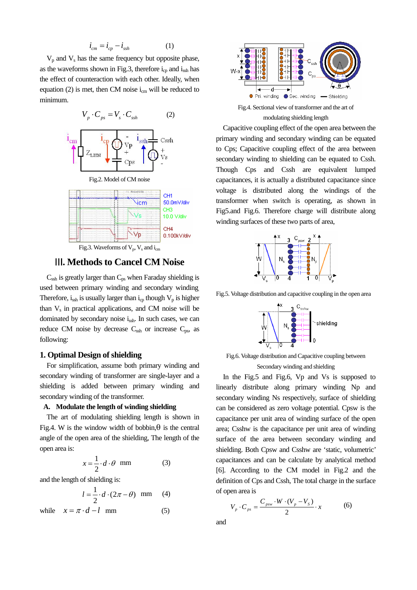$$
\dot{i}_{cm} = \dot{i}_{cp} - \dot{i}_{ssh} \tag{1}
$$

 $V_p$  and  $V_s$  has the same frequency but opposite phase, as the waveforms shown in Fig.3, therefore  $i_{cp}$  and  $i_{ssh}$  has the effect of counteraction with each other. Ideally, when equation (2) is met, then CM noise  $i_{cm}$  will be reduced to minimum.



### Ⅲ**. Methods to Cancel CM Noise**

 $C_{\text{ssh}}$  is greatly larger than  $C_{\text{ps}}$  when Faraday shielding is used between primary winding and secondary winding. Therefore,  $i_{ssh}$  is usually larger than  $i_{cp}$  though  $V_p$  is higher than  $V_s$  in practical applications, and CM noise will be dominated by secondary noise  $i_{\rm sch}$ . In such cases, we can reduce CM noise by decrease  $C_{\text{ssh}}$  or increase  $C_{\text{ps}}$ , as following:

### **1. Optimal Design of shielding**

For simplification, assume both primary winding and secondary winding of transformer are single-layer and a shielding is added between primary winding and secondary winding of the transformer.

#### **A. Modulate the length of winding shielding**

The art of modulating shielding length is shown in Fig.4. W is the window width of bobbin, is the central angle of the open area of the shielding, The length of the open area is:

$$
x = \frac{1}{2} \cdot d \cdot \theta \quad \text{mm} \tag{3}
$$

and the length of shielding is:

$$
l = \frac{1}{2} \cdot d \cdot (2\pi - \theta) \text{ mm} \qquad (4)
$$

while  $x = \pi \cdot d - l$  mm (5)



Fig.4. Sectional view of transformer and the art of modulating shielding length

Capacitive coupling effect of the open area between the primary winding and secondary winding can be equated to Cps; Capacitive coupling effect of the area between secondary winding to shielding can be equated to Cssh. Though Cps and Cssh are equivalent lumped capacitances, it is actually a distributed capacitance since voltage is distributed along the windings of the transformer when switch is operating, as shown in Fig5.and Fig.6. Therefore charge will distribute along winding surfaces of these two parts of area,



Fig.5. Voltage distribution and capacitive coupling in the open area



Fig.6. Voltage distribution and Capacitive coupling between Secondary winding and shielding

In the Fig.5 and Fig.6, Vp and Vs is supposed to linearly distribute along primary winding Np and secondary winding Ns respectively, surface of shielding can be considered as zero voltage potential. Cpsw is the capacitance per unit area of winding surface of the open area; Csshw is the capacitance per unit area of winding surface of the area between secondary winding and shielding. Both Cpsw and Csshw are 'static, volumetric' capacitances and can be calculate by analytical method [6]. According to the CM model in Fig.2 and the definition of Cps and Cssh, The total charge in the surface of open area is

$$
V_p \cdot C_{ps} = \frac{C_{psw} \cdot W \cdot (V_p - V_s)}{2} \cdot x \tag{6}
$$

and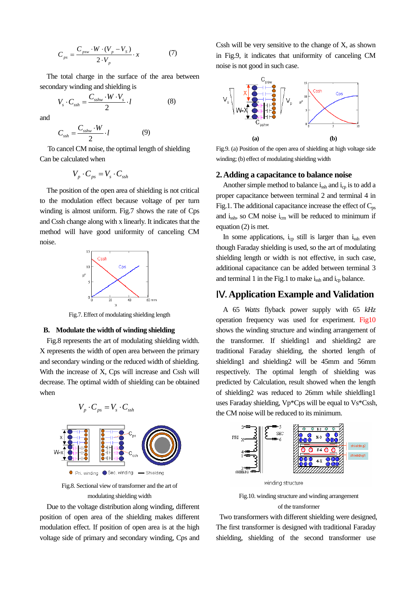$$
C_{ps} = \frac{C_{psw} \cdot W \cdot (V_p - V_s)}{2 \cdot V_p} \cdot x \tag{7}
$$

The total charge in the surface of the area between secondary winding and shielding is

$$
V_s \cdot C_{ssh} = \frac{C_{sshw} \cdot W \cdot V_s}{2} \cdot l \tag{8}
$$

and

$$
C_{\text{ssh}} = \frac{C_{\text{sshw}} \cdot W}{2} \cdot l \tag{9}
$$

To cancel CM noise, the optimal length of shielding Can be calculated when

$$
V_p \cdot C_{ps} = V_s \cdot C_{ssh}
$$

The position of the open area of shielding is not critical to the modulation effect because voltage of per turn winding is almost uniform. Fig.7 shows the rate of Cps and Cssh change along with x linearly. It indicates that the method will have good uniformity of canceling CM noise.



Fig.7. Effect of modulating shielding length

#### **B. Modulate the width of winding shielding**

Fig.8 represents the art of modulating shielding width. X represents the width of open area between the primary and secondary winding or the reduced width of shielding. With the increase of X, Cps will increase and Cssh will decrease. The optimal width of shielding can be obtained when



Fig.8. Sectional view of transformer and the art of modulating shielding width

Due to the voltage distribution along winding, different position of open area of the shielding makes different modulation effect. If position of open area is at the high voltage side of primary and secondary winding, Cps and Cssh will be very sensitive to the change of X, as shown in Fig.9, it indicates that uniformity of canceling CM noise is not good in such case.



Fig.9. (a) Position of the open area of shielding at high voltage side winding; (b) effect of modulating shielding width

#### **2. Adding a capacitance to balance noise**

Another simple method to balance  $i_{ssh}$  and  $i_{cp}$  is to add a proper capacitance between terminal 2 and terminal 4 in Fig.1. The additional capacitance increase the effect of  $C_{ps}$ and  $i_{\rm sh}$ , so CM noise  $i_{\rm cm}$  will be reduced to minimum if equation (2) is met.

In some applications,  $i_{cp}$  still is larger than  $i_{ssh}$  even though Faraday shielding is used, so the art of modulating shielding length or width is not effective, in such case, additional capacitance can be added between terminal 3 and terminal 1 in the Fig.1 to make  $i_{\rm sh}$  and  $i_{\rm cp}$  balance.

# Ⅳ**. Application Example and Validation**

A 65 *Watts* flyback power supply with 65 *kHz* operation frequency was used for experiment. Fig10 shows the winding structure and winding arrangement of the transformer. If shielding1 and shielding2 are traditional Faraday shielding, the shorted length of shielding1 and shielding2 will be 45mm and 56mm respectively. The optimal length of shielding was predicted by Calculation, result showed when the length of shielding2 was reduced to 26mm while shieldling1 uses Faraday shielding, Vp\*Cps will be equal to Vs\*Cssh, the CM noise will be reduced to its minimum.



Fig.10. winding structure and winding arrangement of the transformer

 Two transformers with different shielding were designed, The first transformer is designed with traditional Faraday shielding, shielding of the second transformer use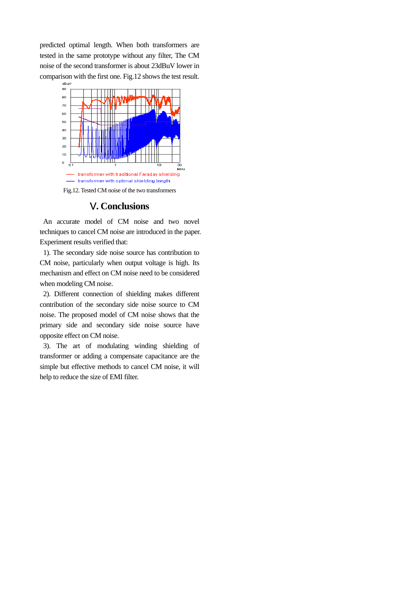predicted optimal length. When both transformers are tested in the same prototype without any filter, The CM noise of the second transformer is about 23dBuV lower in comparison with the first one. Fig.12 shows the test result.



### Ⅴ**. Conclusions**

An accurate model of CM noise and two novel techniques to cancel CM noise are introduced in the paper. Experiment results verified that:

1). The secondary side noise source has contribution to CM noise, particularly when output voltage is high. Its mechanism and effect on CM noise need to be considered when modeling CM noise.

 2). Different connection of shielding makes different contribution of the secondary side noise source to CM noise. The proposed model of CM noise shows that the primary side and secondary side noise source have opposite effect on CM noise.

 3). The art of modulating winding shielding of transformer or adding a compensate capacitance are the simple but effective methods to cancel CM noise, it will help to reduce the size of EMI filter.